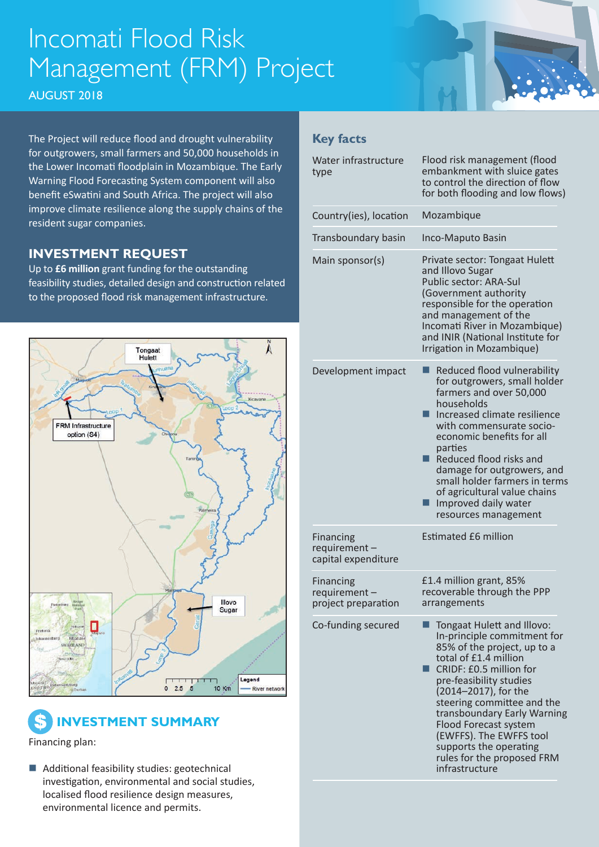## Incomati Flood Risk Management (FRM) Project

AUGUST 2018

The Project will reduce flood and drought vulnerability for outgrowers, small farmers and 50,000 households in the Lower Incomati floodplain in Mozambique. The Early Warning Flood Forecasting System component will also benefit eSwatini and South Africa. The project will also improve climate resilience along the supply chains of the resident sugar companies.

### **INVESTMENT REQUEST**

Up to **£6 million** grant funding for the outstanding feasibility studies, detailed design and construction related to the proposed flood risk management infrastructure.





Financing plan:

 $\blacksquare$  Additional feasibility studies: geotechnical investigation, environmental and social studies, localised flood resilience design measures, environmental licence and permits.

#### **Key facts**

| Water infrastructure<br>type                            | Flood risk management (flood<br>embankment with sluice gates<br>to control the direction of flow<br>for both flooding and low flows)                                                                                                                                                                                                                                                       |
|---------------------------------------------------------|--------------------------------------------------------------------------------------------------------------------------------------------------------------------------------------------------------------------------------------------------------------------------------------------------------------------------------------------------------------------------------------------|
| Country(ies), location                                  | Mozambique                                                                                                                                                                                                                                                                                                                                                                                 |
| Transboundary basin                                     | Inco-Maputo Basin                                                                                                                                                                                                                                                                                                                                                                          |
| Main sponsor(s)                                         | Private sector: Tongaat Hulett<br>and Illovo Sugar<br>Public sector: ARA-Sul<br>(Government authority<br>responsible for the operation<br>and management of the<br>Incomati River in Mozambique)<br>and INIR (National Institute for<br>Irrigation in Mozambique)                                                                                                                          |
| Development impact                                      | Reduced flood vulnerability<br>for outgrowers, small holder<br>farmers and over 50,000<br>households<br>Increased climate resilience<br>with commensurate socio-<br>economic benefits for all<br>parties<br>Reduced flood risks and<br>damage for outgrowers, and<br>small holder farmers in terms<br>of agricultural value chains<br>Improved daily water<br>resources management         |
| <b>Financing</b><br>requirement-<br>capital expenditure | <b>Estimated £6 million</b>                                                                                                                                                                                                                                                                                                                                                                |
| <b>Financing</b><br>requirement-<br>project preparation | £1.4 million grant, 85%<br>recoverable through the PPP<br>arrangements                                                                                                                                                                                                                                                                                                                     |
| Co-funding secured                                      | Tongaat Hulett and Illovo:<br>In-principle commitment for<br>85% of the project, up to a<br>total of £1.4 million<br>CRIDF: £0.5 million for<br>pre-feasibility studies<br>(2014-2017), for the<br>steering committee and the<br>transboundary Early Warning<br>Flood Forecast system<br>(EWFFS). The EWFFS tool<br>supports the operating<br>rules for the proposed FRM<br>infrastructure |